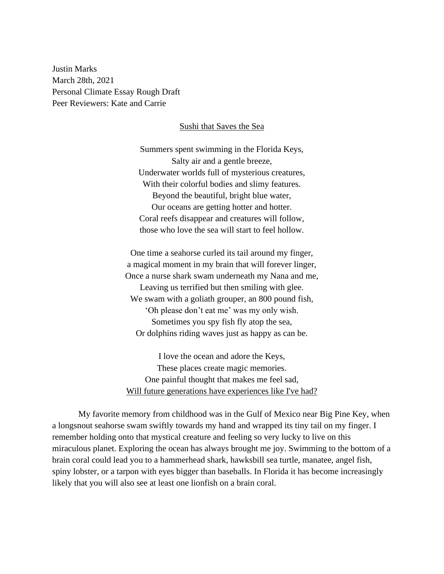Justin Marks March 28th, 2021 Personal Climate Essay Rough Draft Peer Reviewers: Kate and Carrie

## Sushi that Saves the Sea

Summers spent swimming in the Florida Keys, Salty air and a gentle breeze, Underwater worlds full of mysterious creatures, With their colorful bodies and slimy features. Beyond the beautiful, bright blue water, Our oceans are getting hotter and hotter. Coral reefs disappear and creatures will follow, those who love the sea will start to feel hollow.

One time a seahorse curled its tail around my finger, a magical moment in my brain that will forever linger, Once a nurse shark swam underneath my Nana and me, Leaving us terrified but then smiling with glee. We swam with a goliath grouper, an 800 pound fish, 'Oh please don't eat me' was my only wish. Sometimes you spy fish fly atop the sea, Or dolphins riding waves just as happy as can be.

I love the ocean and adore the Keys, These places create magic memories. One painful thought that makes me feel sad, Will future generations have experiences like I've had?

My favorite memory from childhood was in the Gulf of Mexico near Big Pine Key, when a longsnout seahorse swam swiftly towards my hand and wrapped its tiny tail on my finger. I remember holding onto that mystical creature and feeling so very lucky to live on this miraculous planet. Exploring the ocean has always brought me joy. Swimming to the bottom of a brain coral could lead you to a hammerhead shark, hawksbill sea turtle, manatee, angel fish, spiny lobster, or a tarpon with eyes bigger than baseballs. In Florida it has become increasingly likely that you will also see at least one lionfish on a brain coral.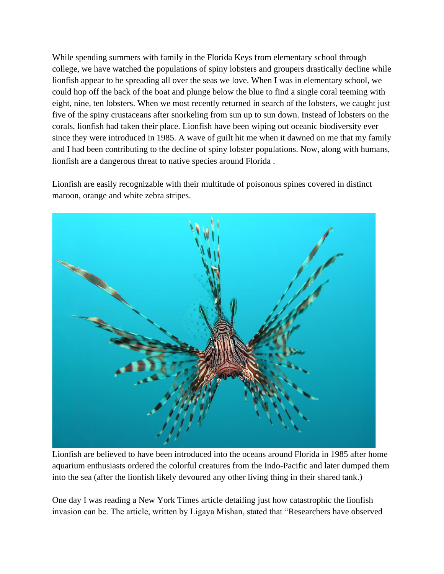While spending summers with family in the Florida Keys from elementary school through college, we have watched the populations of spiny lobsters and groupers drastically decline while lionfish appear to be spreading all over the seas we love. When I was in elementary school, we could hop off the back of the boat and plunge below the blue to find a single coral teeming with eight, nine, ten lobsters. When we most recently returned in search of the lobsters, we caught just five of the spiny crustaceans after snorkeling from sun up to sun down. Instead of lobsters on the corals, lionfish had taken their place. Lionfish have been wiping out oceanic biodiversity ever since they were introduced in 1985. A wave of guilt hit me when it dawned on me that my family and I had been contributing to the decline of spiny lobster populations. Now, along with humans, lionfish are a dangerous threat to native species around Florida .

Lionfish are easily recognizable with their multitude of poisonous spines covered in distinct maroon, orange and white zebra stripes.



Lionfish are believed to have been introduced into the oceans around Florida in 1985 after home aquarium enthusiasts ordered the colorful creatures from the Indo-Pacific and later dumped them into the sea (after the lionfish likely devoured any other living thing in their shared tank.)

One day I was reading a New York Times article detailing just how catastrophic the lionfish invasion can be. The article, written by Ligaya Mishan, stated that "Researchers have observed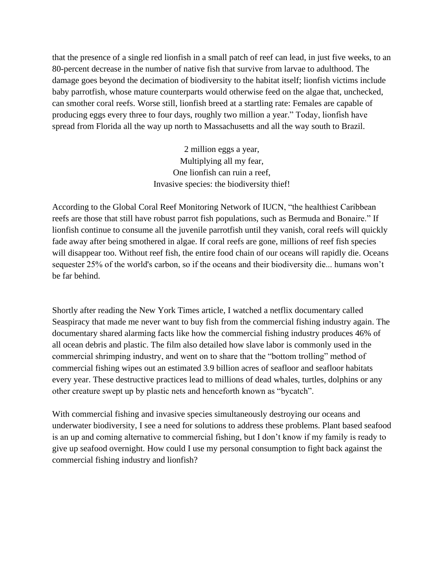that the presence of a single red lionfish in a small patch of reef can lead, in just five weeks, to an 80-percent decrease in the number of native fish that survive from larvae to adulthood. The damage goes beyond the decimation of biodiversity to the habitat itself; lionfish victims include baby parrotfish, whose mature counterparts would otherwise feed on the algae that, unchecked, can smother coral reefs. Worse still, lionfish breed at a startling rate: Females are capable of producing eggs every three to four days, roughly two million a year." Today, lionfish have spread from Florida all the way up north to Massachusetts and all the way south to Brazil.

> 2 million eggs a year, Multiplying all my fear, One lionfish can ruin a reef, Invasive species: the biodiversity thief!

According to the [Global Coral Reef Monitoring Network of IUCN,](http://bit.ly/1mRgpD7) "the healthiest Caribbean reefs are those that still have robust parrot fish populations, such as Bermuda and Bonaire." If lionfish continue to consume all the juvenile parrotfish until they vanish, coral reefs will quickly fade away after being smothered in algae. If coral reefs are gone, millions of reef fish species will disappear too. Without reef fish, the entire food chain of our oceans will rapidly die. Oceans sequester 25% of the world's carbon, so if the oceans and their biodiversity die... humans won't be far behind.

Shortly after reading the New York Times article, I watched a netflix documentary called Seaspiracy that made me never want to buy fish from the commercial fishing industry again. The documentary shared alarming facts like how the commercial fishing industry produces 46% of all ocean debris and plastic. The film also detailed how slave labor is commonly used in the commercial shrimping industry, and went on to share that the "bottom trolling" method of commercial fishing wipes out an estimated 3.9 billion acres of seafloor and seafloor habitats every year. These destructive practices lead to millions of dead whales, turtles, dolphins or any other creature swept up by plastic nets and henceforth known as "bycatch".

With commercial fishing and invasive species simultaneously destroying our oceans and underwater biodiversity, I see a need for solutions to address these problems. Plant based seafood is an up and coming alternative to commercial fishing, but I don't know if my family is ready to give up seafood overnight. How could I use my personal consumption to fight back against the commercial fishing industry and lionfish?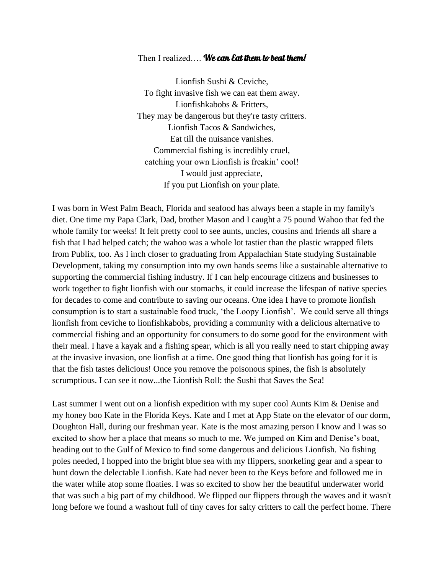## Then I realized.... We can Eat them to beat them!

Lionfish Sushi & Ceviche, To fight invasive fish we can eat them away. Lionfishkabobs & Fritters, They may be dangerous but they're tasty critters. Lionfish Tacos & Sandwiches, Eat till the nuisance vanishes. Commercial fishing is incredibly cruel, catching your own Lionfish is freakin' cool! I would just appreciate, If you put Lionfish on your plate.

I was born in West Palm Beach, Florida and seafood has always been a staple in my family's diet. One time my Papa Clark, Dad, brother Mason and I caught a 75 pound Wahoo that fed the whole family for weeks! It felt pretty cool to see aunts, uncles, cousins and friends all share a fish that I had helped catch; the wahoo was a whole lot tastier than the plastic wrapped filets from Publix, too. As I inch closer to graduating from Appalachian State studying Sustainable Development, taking my consumption into my own hands seems like a sustainable alternative to supporting the commercial fishing industry. If I can help encourage citizens and businesses to work together to fight lionfish with our stomachs, it could increase the lifespan of native species for decades to come and contribute to saving our oceans. One idea I have to promote lionfish consumption is to start a sustainable food truck, 'the Loopy Lionfish'. We could serve all things lionfish from ceviche to lionfishkabobs, providing a community with a delicious alternative to commercial fishing and an opportunity for consumers to do some good for the environment with their meal. I have a kayak and a fishing spear, which is all you really need to start chipping away at the invasive invasion, one lionfish at a time. One good thing that lionfish has going for it is that the fish tastes delicious! Once you remove the poisonous spines, the fish is absolutely scrumptious. I can see it now...the Lionfish Roll: the Sushi that Saves the Sea!

Last summer I went out on a lionfish expedition with my super cool Aunts Kim & Denise and my honey boo Kate in the Florida Keys. Kate and I met at App State on the elevator of our dorm, Doughton Hall, during our freshman year. Kate is the most amazing person I know and I was so excited to show her a place that means so much to me. We jumped on Kim and Denise's boat, heading out to the Gulf of Mexico to find some dangerous and delicious Lionfish. No fishing poles needed, I hopped into the bright blue sea with my flippers, snorkeling gear and a spear to hunt down the delectable Lionfish. Kate had never been to the Keys before and followed me in the water while atop some floaties. I was so excited to show her the beautiful underwater world that was such a big part of my childhood. We flipped our flippers through the waves and it wasn't long before we found a washout full of tiny caves for salty critters to call the perfect home. There